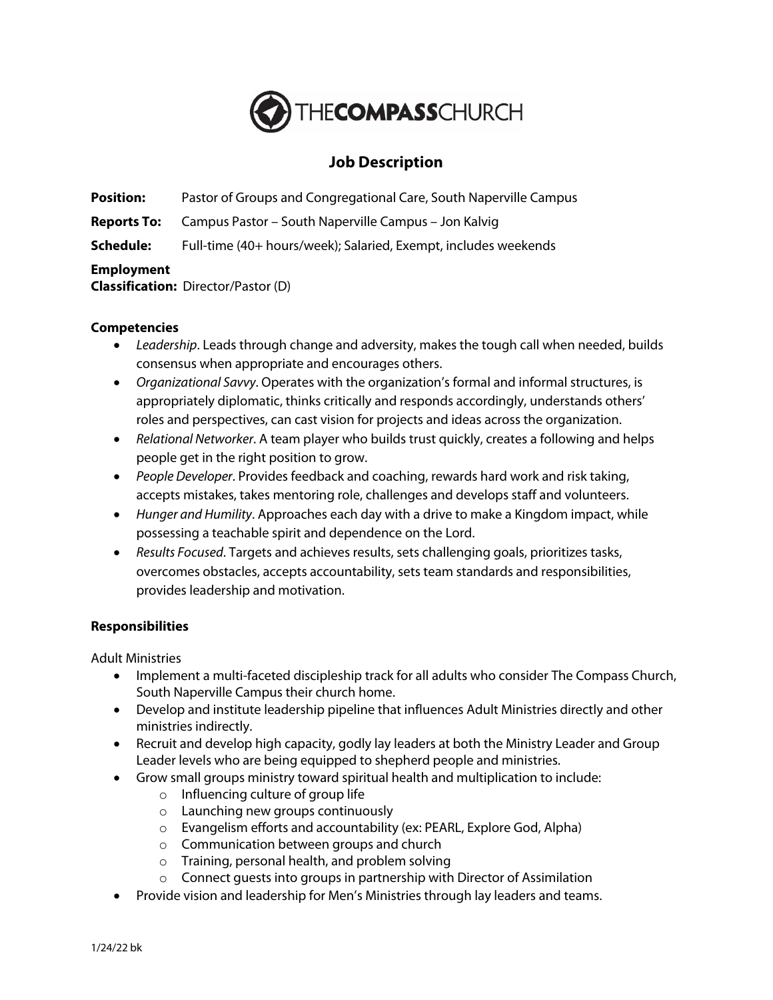

# **Job Description**

**Position:** Pastor of Groups and Congregational Care, South Naperville Campus

**Reports To:** Campus Pastor – South Naperville Campus – Jon Kalvig

**Schedule:** Full-time (40+ hours/week); Salaried, Exempt, includes weekends

## **Employment**

**Classification:** Director/Pastor (D)

## **Competencies**

- *Leadership*. Leads through change and adversity, makes the tough call when needed, builds consensus when appropriate and encourages others.
- *Organizational Savvy*. Operates with the organization's formal and informal structures, is appropriately diplomatic, thinks critically and responds accordingly, understands others' roles and perspectives, can cast vision for projects and ideas across the organization.
- *Relational Networker*. A team player who builds trust quickly, creates a following and helps people get in the right position to grow.
- *People Developer*. Provides feedback and coaching, rewards hard work and risk taking, accepts mistakes, takes mentoring role, challenges and develops staff and volunteers.
- *Hunger and Humility*. Approaches each day with a drive to make a Kingdom impact, while possessing a teachable spirit and dependence on the Lord.
- *Results Focused*. Targets and achieves results, sets challenging goals, prioritizes tasks, overcomes obstacles, accepts accountability, sets team standards and responsibilities, provides leadership and motivation.

## **Responsibilities**

Adult Ministries

- Implement a multi-faceted discipleship track for all adults who consider The Compass Church, South Naperville Campus their church home.
- Develop and institute leadership pipeline that influences Adult Ministries directly and other ministries indirectly.
- Recruit and develop high capacity, godly lay leaders at both the Ministry Leader and Group Leader levels who are being equipped to shepherd people and ministries.
- Grow small groups ministry toward spiritual health and multiplication to include:
	- o Influencing culture of group life
	- o Launching new groups continuously
	- o Evangelism efforts and accountability (ex: PEARL, Explore God, Alpha)
	- o Communication between groups and church
	- o Training, personal health, and problem solving
	- o Connect guests into groups in partnership with Director of Assimilation
- Provide vision and leadership for Men's Ministries through lay leaders and teams.